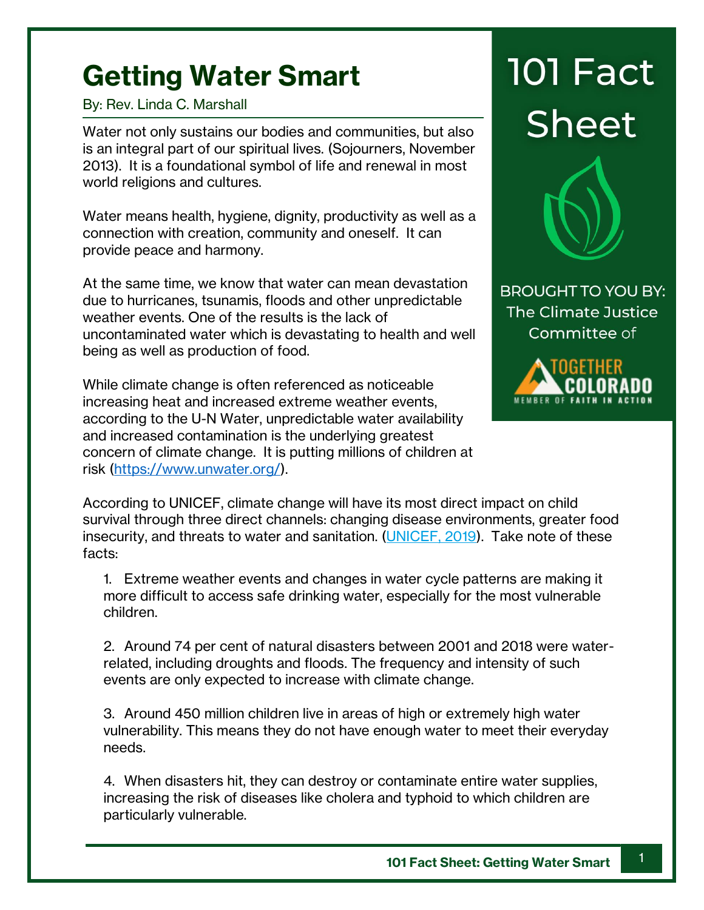## **Getting Water Smart**

By: Rev. Linda C. Marshall

Water not only sustains our bodies and communities, but also is an integral part of our spiritual lives. (Sojourners, November 2013). It is a foundational symbol of life and renewal in most world religions and cultures.

Water means health, hygiene, dignity, productivity as well as a connection with creation, community and oneself. It can provide peace and harmony.

At the same time, we know that water can mean devastation due to hurricanes, tsunamis, floods and other unpredictable weather events. One of the results is the lack of uncontaminated water which is devastating to health and well being as well as production of food.

While climate change is often referenced as noticeable increasing heat and increased extreme weather events, according to the U-N Water, unpredictable water availability and increased contamination is the underlying greatest concern of climate change. It is putting millions of children at risk [\(https://www.unwater.org/\)](https://www.unwater.org/).

**101 Fact Sheet** 



**BROUGHT TO YOU BY:** The Climate Justice Committee of



According to UNICEF, climate change will have its most direct impact on child survival through three direct channels: changing disease environments, greater food insecurity, and threats to water and sanitation. [\(UNICEF, 2019\)](https://www.unicef.org/media/62371/file/Convention-rights-child-at-crossroads-2019.pdf). Take note of these facts:

1. Extreme weather events and changes in water cycle patterns are making it more difficult to access safe drinking water, especially for the most vulnerable children.

2. Around 74 per cent of natural disasters between 2001 and 2018 were waterrelated, including droughts and floods. The frequency and intensity of such events are only expected to increase with climate change.

3. Around 450 million children live in areas of high or extremely high water vulnerability. This means they do not have enough water to meet their everyday needs.

4. When disasters hit, they can destroy or contaminate entire water supplies, increasing the risk of diseases like cholera and typhoid to which children are particularly vulnerable.